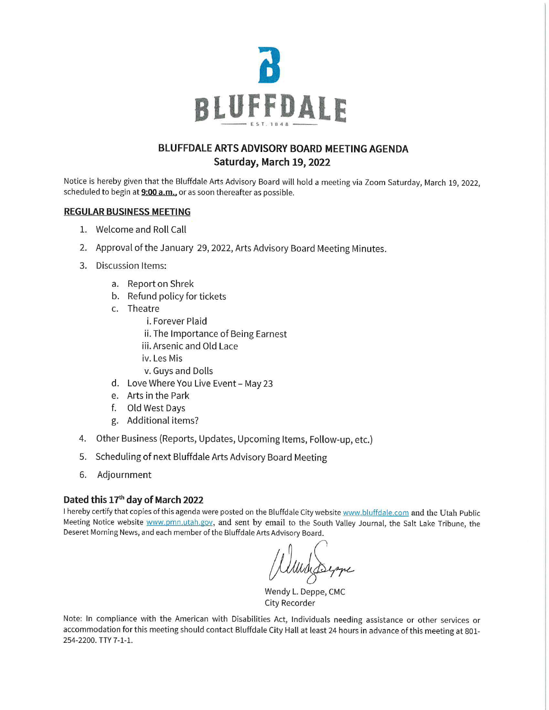

## **BLUFFDALE ARTS ADVISORY BOARD MEETING AGENDA Saturday, March 19, 2022**

Notice is hereby given that the Bluffdale Arts Advisory Board will hold a meeting via Zoom Saturday, March 19, 2022, scheduled to begin at **9:00 a.m.,** or as soon thereafter as possible.

## **REGULAR BUSINESS MEETING**

- 1. Welcome and Roll Call
- 2. Approval of the January 29, 2022, Arts Advisory Board Meeting Minutes.
- 3. Discussion Items:
	- a. Report on Shrek
	- b. Refund policy for tickets
	- c. Theatre
		- i. Forever Plaid
		- ii. The Importance of Being Earnest
		- iii. Arsenic and Old Lace
		- iv. Les Mis
		- v. Guys and Dolls
	- d. Love Where You Live Event- May 23
	- e. Arts in the Park
	- f. Old West Days
	- g. Additional items?
- 4. Other Business (Reports, Updates, Upcoming Items, Follow-up, etc.)
- 5. Scheduling of next Bluffdale Arts Advisory Board Meeting
- 6. Adjournment

## **Dated this 17th day of March 2022**

I hereby certify that copies of this agenda were posted on the Bluffdale City website www.bluffdale.com and the Utah Public Meeting Notice website www.pmn.utah.gov, and sent by email to the South Valley Journal, the Salt Lake Tribune, the Deseret Morning News, and each member of the Bluffdale Arts Advisory Board.

Wunderseppe

City Recorder

Note: In compliance with the American with Disabilities Act, Individuals needing assistance or other services or accommodation for this meeting should contact Bluffdale City Hall at least 24 hours in advance of this meeting at 801- 254-2200. TTY 7-1-1.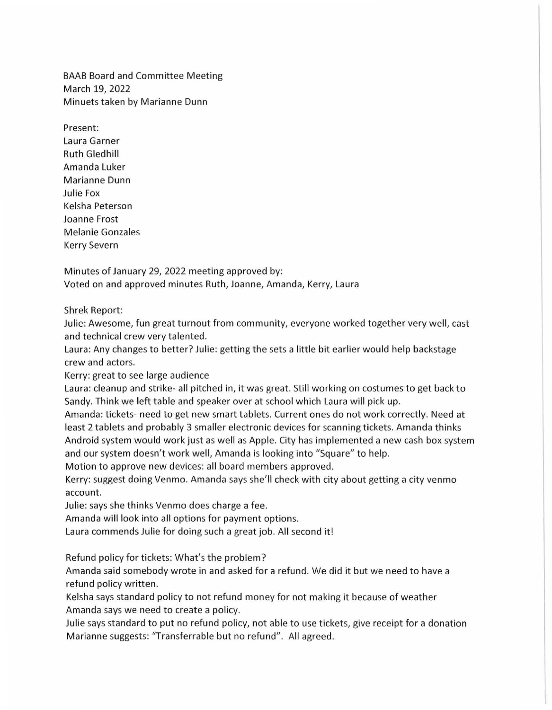BAAB Board and Committee Meeting March 19, 2022 Minuets taken by Marianne Dunn

Present: Laura Garner Ruth Gledhill Amanda Luker Marianne Dunn Julie Fox Keisha Peterson Joanne Frost Melanie Gonzales Kerry Severn

Minutes of January 29, 2022 meeting approved by: Voted on and approved minutes Ruth, Joanne, Amanda, Kerry, Laura

Shrek Report:

Julie: Awesome, fun great turnout from community, everyone worked together very well, cast and technical crew very talented.

Laura: Any changes to better? Julie: getting the sets a little bit earlier would help backstage crew and actors.

Kerry: great to see large audience

Laura: cleanup and strike- all pitched in, it was great. Still working on costumes to get back to Sandy. Think we left table and speaker over at school which Laura will pick up.

Amanda: tickets- need to get new smart tablets. Current ones do not work correctly. Need at least 2 tablets and probably 3 smaller electronic devices for scanning tickets. Amanda thinks Android system would work just as well as Apple. City has implemented a new cash box system and our system doesn't work well, Amanda is looking into "Square" to help.

Motion to approve new devices: all board members approved.

Kerry: suggest doing Venmo. Amanda says she'll check with city about getting a city venmo account.

Julie: says she thinks Venmo does charge a fee.

Amanda will look into all options for payment options.

Laura commends Julie for doing such a great job. All second it!

Refund policy for tickets: What's the problem?

Amanda said somebody wrote in and asked for a refund. We did it but we need to have a refund policy written.

Keisha says standard policy to not refund money for not making it because of weather Amanda says we need to create a policy.

Julie says standard to put no refund policy, not able to use tickets, give receipt for a donation Marianne suggests: "Transferrable but no refund". All agreed.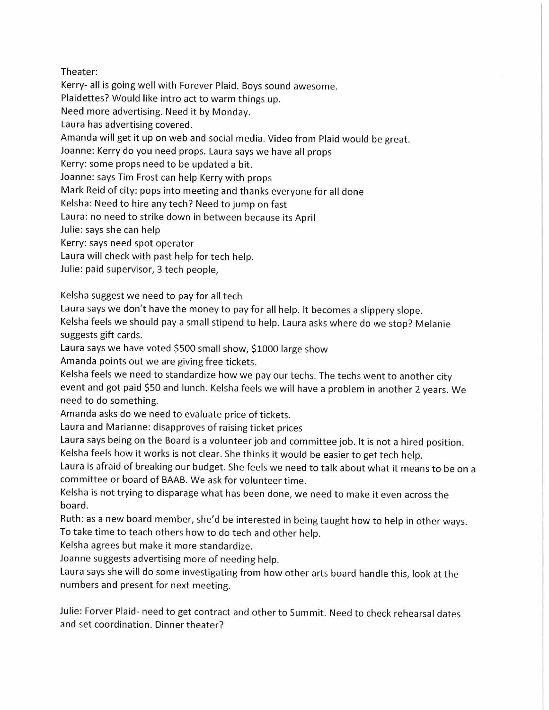## Theater:

Kerry- all is going well with Forever Plaid. Boys sound awesome.

Plaidettes? Would like intro act to warm things up.

Need more advertising. Need it by Monday.

Laura has advertising covered.

Amanda will get it up on web and social media. Video from Plaid would be great.

Joanne: Kerry do you need props. Laura says we have all props

Kerry: some props need to be updated a bit.

Joanne: says Tim Frost can help Kerry with props

Mark Reid of city: pops into meeting and thanks everyone for all done

Keisha: Need to hire any tech? Need to jump on fast

Laura: no need to strike down in between because its April

Julie: says she can help

Kerry: says need spot operator

Laura will check with past help for tech help.

Julie: paid supervisor, 3 tech people,

Kelsha suggest we need to pay for all tech

Laura says we don't have the money to pay for all help. It becomes a slippery slope.

Keisha feels we should pay a small stipend to help. Laura asks where do we stop? Melanie suggests gift cards.

Laura says we have voted \$500 small show, \$1000 large show

Amanda points out we are giving free tickets.

Keisha feels we need to standardize how we pay our techs. The techs went to another city event and got paid \$50 and lunch. Keisha feels we will have a problem in another 2 years. We need to do something.

Amanda asks do we need to evaluate price of tickets.

Laura and Marianne: disapproves of raising ticket prices

Laura says being on the Board is a volunteer job and committee job. It is not a hired position. Keisha feels how it works is not clear. She thinks it would be easier to get tech help.

Laura is afraid of breaking our budget. She feels we need to talk about what it means to be on a committee or board of BAAB. We ask for volunteer time.

Keisha is not trying to disparage what has been done, we need to make it even across the board.

Ruth: as a new board member, she'd be interested in being taught how to help in other ways. To take time to teach others how to do tech and other help.

Kelsha agrees but make it more standardize.

Joanne suggests advertising more of needing help.

Laura says she will do some investigating from how other arts board handle this, look at the numbers and present for next meeting.

Julie: Farver Plaid- need to get contract and other to Summit. Need to check rehearsal dates and set coordination. Dinner theater?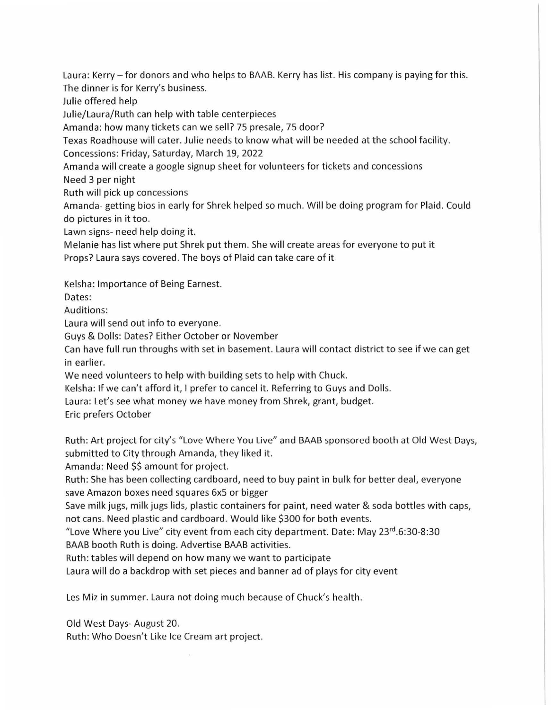Laura: Kerry – for donors and who helps to BAAB. Kerry has list. His company is paying for this. The dinner is for Kerry's business.

Julie offered help

Julie/Laura/Ruth can help with table centerpieces

Amanda: how many tickets can we sell? 75 presale, 75 door?

Texas Roadhouse will cater. Julie needs to know what will be needed at the school facility.

Concessions: Friday, Saturday, March 19, 2022

Amanda will create a google signup sheet for volunteers for tickets and concessions

Need 3 per night

Ruth will pick up concessions

Amanda- getting bios in early for Shrek helped so much. Will be doing program for Plaid. Could do pictures in it too.

Lawn signs- need help doing it.

Melanie has list where put Shrek put them. She will create areas for everyone to put it Props? Laura says covered. The boys of Plaid can take care of it

Kelsha: Importance of Being Earnest.

Dates:

Auditions:

Laura will send out info to everyone.

Guys & Dolls: Dates? Either October or November

Can have full run throughs with set in basement. Laura will contact district to see if we can get in earlier.

We need volunteers to help with building sets to help with Chuck.

Kelsha: If we can't afford it, I prefer to cancel it. Referring to Guys and Dolls.

Laura: Let's see what money we have money from Shrek, grant, budget.

Eric prefers October

Ruth: Art project for city's "Love Where You Live" and BAAB sponsored booth at Old West Days, submitted to City through Amanda, they liked it.

Amanda: Need \$\$ amount for project.

Ruth: She has been collecting cardboard, need to buy paint in bulk for better deal, everyone save Amazon boxes need squares 6x5 or bigger

Save milk jugs, milk jugs lids, plastic containers for paint, need water & soda bottles with caps, not cans. Need plastic and cardboard. Would like \$300 for both events.

"Love Where you Live" city event from each city department. Date: May 23<sup>rd</sup>.6:30-8:30

BAAB booth Ruth is doing. Advertise BAAB activities.

Ruth: tables will depend on how many we want to participate

Laura will do a backdrop with set pieces and banner ad of plays for city event

Les Miz in summer. Laura not doing much because of Chuck's health.

Old West Days- August 20. Ruth: Who Doesn't Like Ice Cream art project.